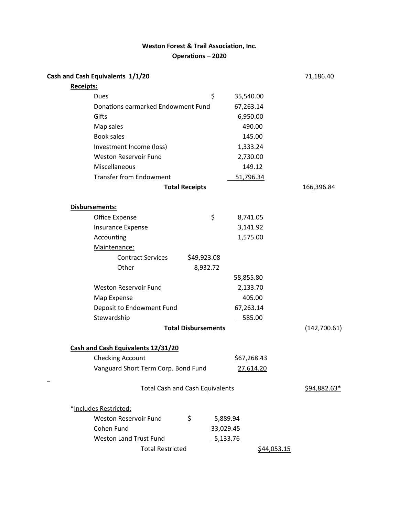# **Weston Forest & Trail Association, Inc.** Operations – 2020

| Cash and Cash Equivalents 1/1/20       |                                    |             | 71,186.40    |
|----------------------------------------|------------------------------------|-------------|--------------|
| Receipts:                              |                                    |             |              |
| Dues                                   | \$                                 | 35,540.00   |              |
|                                        | Donations earmarked Endowment Fund |             |              |
| Gifts                                  |                                    | 6,950.00    |              |
| Map sales                              |                                    | 490.00      |              |
| <b>Book sales</b>                      |                                    | 145.00      |              |
| Investment Income (loss)               |                                    | 1,333.24    |              |
| <b>Weston Reservoir Fund</b>           |                                    | 2,730.00    |              |
| Miscellaneous                          |                                    | 149.12      |              |
| <b>Transfer from Endowment</b>         |                                    | 51,796.34   |              |
|                                        | <b>Total Receipts</b>              |             |              |
| <b>Disbursements:</b>                  |                                    |             |              |
| Office Expense                         | \$                                 | 8,741.05    |              |
| <b>Insurance Expense</b>               |                                    | 3,141.92    |              |
| Accounting                             |                                    | 1,575.00    |              |
| Maintenance:                           |                                    |             |              |
| <b>Contract Services</b>               | \$49,923.08                        |             |              |
| Other                                  | 8,932.72                           |             |              |
|                                        |                                    | 58,855.80   |              |
| <b>Weston Reservoir Fund</b>           |                                    | 2,133.70    |              |
| Map Expense                            |                                    | 405.00      |              |
| Deposit to Endowment Fund              |                                    | 67,263.14   |              |
| Stewardship                            |                                    | 585.00      |              |
|                                        | <b>Total Disbursements</b>         |             | (142,700.61) |
| Cash and Cash Equivalents 12/31/20     |                                    |             |              |
| <b>Checking Account</b>                |                                    | \$67,268.43 |              |
| Vanguard Short Term Corp. Bond Fund    |                                    | 27,614.20   |              |
| <b>Total Cash and Cash Equivalents</b> |                                    |             | \$94,882.63* |
| *Includes Restricted:                  |                                    |             |              |
| <b>Weston Reservoir Fund</b>           | \$                                 | 5,889.94    |              |
| Cohen Fund                             |                                    | 33,029.45   |              |
| <b>Weston Land Trust Fund</b>          |                                    | 5,133.76    |              |
| <b>Total Restricted</b>                |                                    | \$44,053.15 |              |